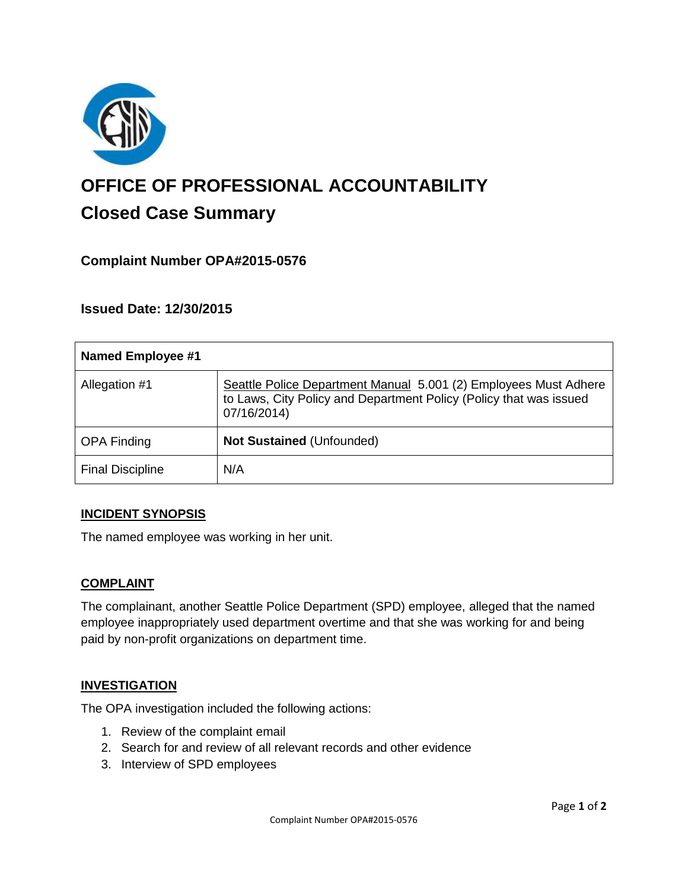

# **OFFICE OF PROFESSIONAL ACCOUNTABILITY Closed Case Summary**

## **Complaint Number OPA#2015-0576**

**Issued Date: 12/30/2015**

| <b>Named Employee #1</b> |                                                                                                                                                       |
|--------------------------|-------------------------------------------------------------------------------------------------------------------------------------------------------|
| Allegation #1            | Seattle Police Department Manual 5.001 (2) Employees Must Adhere<br>to Laws, City Policy and Department Policy (Policy that was issued<br>07/16/2014) |
| <b>OPA Finding</b>       | <b>Not Sustained (Unfounded)</b>                                                                                                                      |
| <b>Final Discipline</b>  | N/A                                                                                                                                                   |

#### **INCIDENT SYNOPSIS**

The named employee was working in her unit.

#### **COMPLAINT**

The complainant, another Seattle Police Department (SPD) employee, alleged that the named employee inappropriately used department overtime and that she was working for and being paid by non-profit organizations on department time.

#### **INVESTIGATION**

The OPA investigation included the following actions:

- 1. Review of the complaint email
- 2. Search for and review of all relevant records and other evidence
- 3. Interview of SPD employees